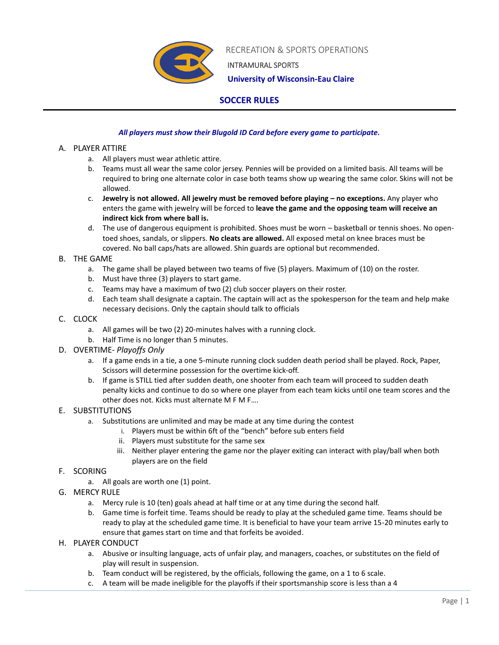

RECREATION & SPORTS OPERATIONS

INTRAMURAL SPORTS

 **University of Wisconsin-Eau Claire**

# **SOCCER RULES**

# *All players must show their Blugold ID Card before every game to participate.*

# A. PLAYER ATTIRE

- a. All players must wear athletic attire.
- b. Teams must all wear the same color jersey. Pennies will be provided on a limited basis. All teams will be required to bring one alternate color in case both teams show up wearing the same color. Skins will not be allowed.
- c. **Jewelry is not allowed. All jewelry must be removed before playing – no exceptions.** Any player who enters the game with jewelry will be forced to **leave the game and the opposing team will receive an indirect kick from where ball is.**
- d. The use of dangerous equipment is prohibited. Shoes must be worn basketball or tennis shoes. No opentoed shoes, sandals, or slippers. **No cleats are allowed.** All exposed metal on knee braces must be covered. No ball caps/hats are allowed. Shin guards are optional but recommended.

# B. THE GAME

- a. The game shall be played between two teams of five (5) players. Maximum of (10) on the roster.
- b. Must have three (3) players to start game.
- c. Teams may have a maximum of two (2) club soccer players on their roster.
- d. Each team shall designate a captain. The captain will act as the spokesperson for the team and help make necessary decisions. Only the captain should talk to officials

## C. CLOCK

- a. All games will be two (2) 20-minutes halves with a running clock.
- b. Half Time is no longer than 5 minutes.
- D. OVERTIME- *Playoffs Only*
	- a. If a game ends in a tie, a one 5-minute running clock sudden death period shall be played. Rock, Paper, Scissors will determine possession for the overtime kick-off.
	- b. If game is STILL tied after sudden death, one shooter from each team will proceed to sudden death penalty kicks and continue to do so where one player from each team kicks until one team scores and the other does not. Kicks must alternate M F M F….

# E. SUBSTITUTIONS

- a. Substitutions are unlimited and may be made at any time during the contest
	- i. Players must be within 6ft of the "bench" before sub enters field
	- ii. Players must substitute for the same sex
	- iii. Neither player entering the game nor the player exiting can interact with play/ball when both players are on the field

# F. SCORING

- a. All goals are worth one (1) point.
- G. MERCY RULE
	- a. Mercy rule is 10 (ten) goals ahead at half time or at any time during the second half.
	- b. Game time is forfeit time. Teams should be ready to play at the scheduled game time. Teams should be ready to play at the scheduled game time. It is beneficial to have your team arrive 15-20 minutes early to ensure that games start on time and that forfeits be avoided.
- H. PLAYER CONDUCT
	- a. Abusive or insulting language, acts of unfair play, and managers, coaches, or substitutes on the field of play will result in suspension.
	- b. Team conduct will be registered, by the officials, following the game, on a 1 to 6 scale.
	- c. A team will be made ineligible for the playoffs if their sportsmanship score is less than a 4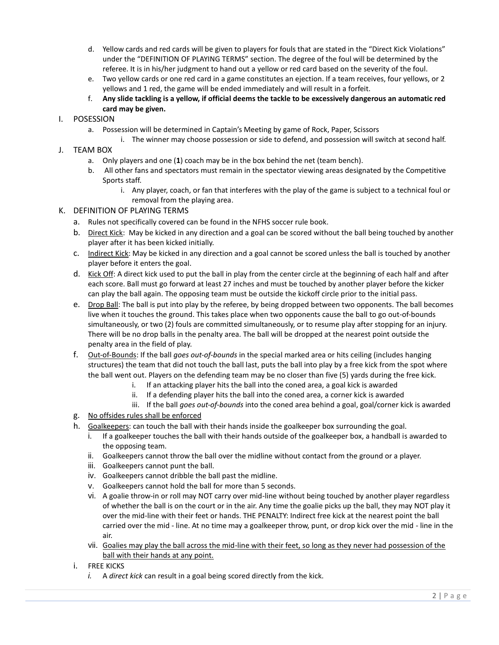- d. Yellow cards and red cards will be given to players for fouls that are stated in the "Direct Kick Violations" under the "DEFINITION OF PLAYING TERMS" section. The degree of the foul will be determined by the referee. It is in his/her judgment to hand out a yellow or red card based on the severity of the foul.
- e. Two yellow cards or one red card in a game constitutes an ejection. If a team receives, four yellows, or 2 yellows and 1 red, the game will be ended immediately and will result in a forfeit.
- f. **Any slide tackling is a yellow, if official deems the tackle to be excessively dangerous an automatic red card may be given.**

## I. POSESSION

- a. Possession will be determined in Captain's Meeting by game of Rock, Paper, Scissors
	- i. The winner may choose possession or side to defend, and possession will switch at second half.

## J. TEAM BOX

- a. Only players and one (**1**) coach may be in the box behind the net (team bench).
- b. All other fans and spectators must remain in the spectator viewing areas designated by the Competitive Sports staff.
	- i. Any player, coach, or fan that interferes with the play of the game is subject to a technical foul or removal from the playing area.

### K. DEFINITION OF PLAYING TERMS

- a. Rules not specifically covered can be found in the NFHS soccer rule book.
- b. Direct Kick: May be kicked in any direction and a goal can be scored without the ball being touched by another player after it has been kicked initially.
- c. Indirect Kick: May be kicked in any direction and a goal cannot be scored unless the ball is touched by another player before it enters the goal.
- d. Kick Off: A direct kick used to put the ball in play from the center circle at the beginning of each half and after each score. Ball must go forward at least 27 inches and must be touched by another player before the kicker can play the ball again. The opposing team must be outside the kickoff circle prior to the initial pass.
- e. Drop Ball: The ball is put into play by the referee, by being dropped between two opponents. The ball becomes live when it touches the ground. This takes place when two opponents cause the ball to go out-of-bounds simultaneously, or two (2) fouls are committed simultaneously, or to resume play after stopping for an injury. There will be no drop balls in the penalty area. The ball will be dropped at the nearest point outside the penalty area in the field of play.
- f. Out-of-Bounds: If the ball *goes out-of-bounds* in the special marked area or hits ceiling (includes hanging structures) the team that did not touch the ball last, puts the ball into play by a free kick from the spot where the ball went out. Players on the defending team may be no closer than five (5) yards during the free kick.
	- i. If an attacking player hits the ball into the coned area, a goal kick is awarded
	- ii. If a defending player hits the ball into the coned area, a corner kick is awarded
	- iii. If the ball *goes out-of-bounds* into the coned area behind a goal, goal/corner kick is awarded
- g. No offsides rules shall be enforced
- h. Goalkeepers: can touch the ball with their hands inside the goalkeeper box surrounding the goal.
	- i. If a goalkeeper touches the ball with their hands outside of the goalkeeper box, a handball is awarded to the opposing team.
	- ii. Goalkeepers cannot throw the ball over the midline without contact from the ground or a player.
	- iii. Goalkeepers cannot punt the ball.
	- iv. Goalkeepers cannot dribble the ball past the midline.
	- v. Goalkeepers cannot hold the ball for more than 5 seconds.
	- vi. A goalie throw-in or roll may NOT carry over mid-line without being touched by another player regardless of whether the ball is on the court or in the air. Any time the goalie picks up the ball, they may NOT play it over the mid-line with their feet or hands. THE PENALTY: Indirect free kick at the nearest point the ball carried over the mid - line. At no time may a goalkeeper throw, punt, or drop kick over the mid - line in the air.
	- vii. Goalies may play the ball across the mid-line with their feet, so long as they never had possession of the ball with their hands at any point.
- i. FREE KICKS
	- *i.* A *direct kick* can result in a goal being scored directly from the kick.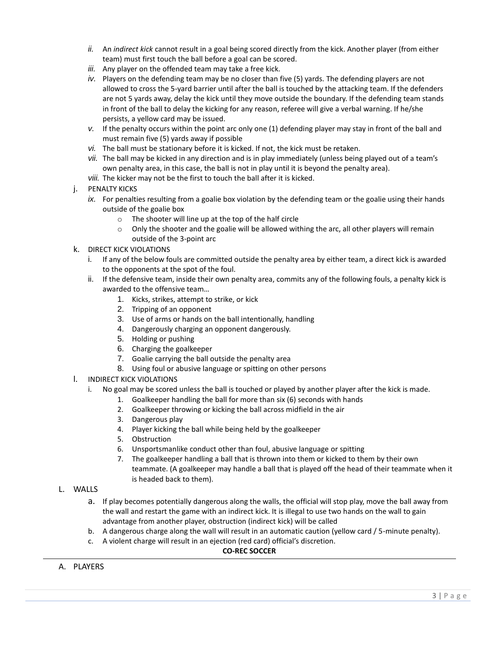- *ii.* An *indirect kick* cannot result in a goal being scored directly from the kick. Another player (from either team) must first touch the ball before a goal can be scored.
- *iii.* Any player on the offended team may take a free kick.
- *iv.* Players on the defending team may be no closer than five (5) yards. The defending players are not allowed to cross the 5-yard barrier until after the ball is touched by the attacking team. If the defenders are not 5 yards away, delay the kick until they move outside the boundary. If the defending team stands in front of the ball to delay the kicking for any reason, referee will give a verbal warning. If he/she persists, a yellow card may be issued.
- *v.* If the penalty occurs within the point arc only one (1) defending player may stay in front of the ball and must remain five (5) yards away if possible
- *vi.* The ball must be stationary before it is kicked. If not, the kick must be retaken.
- *vii.* The ball may be kicked in any direction and is in play immediately (unless being played out of a team's own penalty area, in this case, the ball is not in play until it is beyond the penalty area).
- *viii.* The kicker may not be the first to touch the ball after it is kicked.

### j. PENALTY KICKS

- *ix.* For penalties resulting from a goalie box violation by the defending team or the goalie using their hands outside of the goalie box
	- o The shooter will line up at the top of the half circle
	- $\circ$  Only the shooter and the goalie will be allowed withing the arc, all other players will remain outside of the 3-point arc

### k. DIRECT KICK VIOLATIONS

- i. If any of the below fouls are committed outside the penalty area by either team, a direct kick is awarded to the opponents at the spot of the foul.
- ii. If the defensive team, inside their own penalty area, commits any of the following fouls, a penalty kick is awarded to the offensive team…
	- 1. Kicks, strikes, attempt to strike, or kick
	- 2. Tripping of an opponent
	- 3. Use of arms or hands on the ball intentionally, handling
	- 4. Dangerously charging an opponent dangerously.
	- 5. Holding or pushing
	- 6. Charging the goalkeeper
	- 7. Goalie carrying the ball outside the penalty area
	- 8. Using foul or abusive language or spitting on other persons
- l. INDIRECT KICK VIOLATIONS
	- i. No goal may be scored unless the ball is touched or played by another player after the kick is made.
		- 1. Goalkeeper handling the ball for more than six (6) seconds with hands
		- 2. Goalkeeper throwing or kicking the ball across midfield in the air
		- 3. Dangerous play
		- 4. Player kicking the ball while being held by the goalkeeper
		- 5. Obstruction
		- 6. Unsportsmanlike conduct other than foul, abusive language or spitting
		- 7. The goalkeeper handling a ball that is thrown into them or kicked to them by their own teammate. (A goalkeeper may handle a ball that is played off the head of their teammate when it is headed back to them).
- L. WALLS
	- a. If play becomes potentially dangerous along the walls, the official will stop play, move the ball away from the wall and restart the game with an indirect kick. It is illegal to use two hands on the wall to gain advantage from another player, obstruction (indirect kick) will be called
	- b. A dangerous charge along the wall will result in an automatic caution (yellow card / 5-minute penalty).
	- c. A violent charge will result in an ejection (red card) official's discretion.

#### **CO-REC SOCCER**

A. PLAYERS